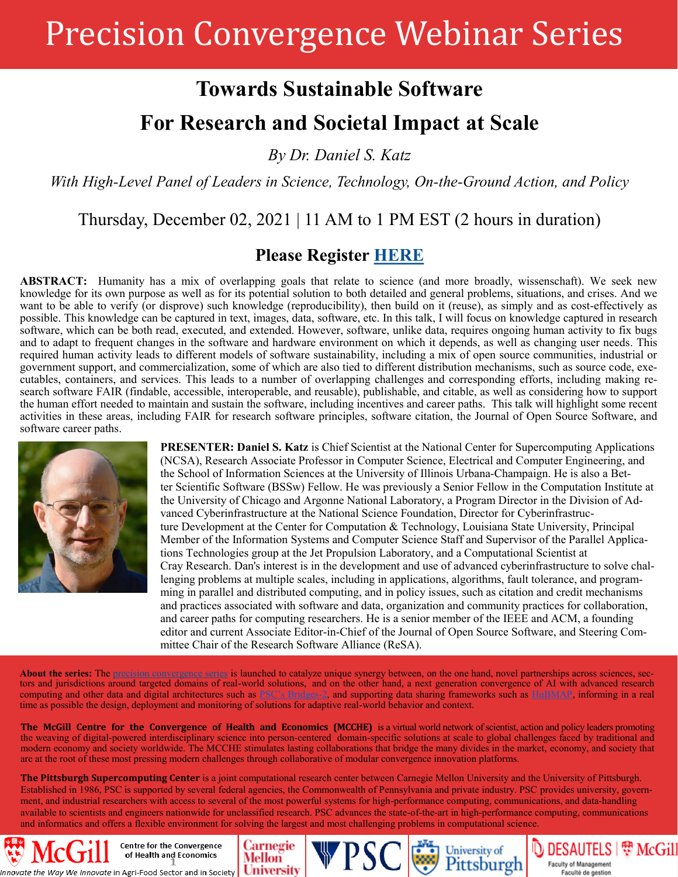# Precision Convergence Webinar Series

## **Towards Sustainable Software**

## **For Research and Societal Impact at Scale**

*By Dr. Daniel S. Katz*

*With High-Level Panel of Leaders in Science, Technology, On-the-Ground Action, and Policy* 

### Thursday, December 02, 2021 | 11 AM to 1 PM EST (2 hours in duration)

#### **Please Register [HERE](https://mcgill.zoom.us/meeting/register/tZ0sfumurzstHNcZI7oyU46DXJ0sEfu-U_95)**

**ABSTRACT:** Humanity has a mix of overlapping goals that relate to science (and more broadly, wissenschaft). We seek new knowledge for its own purpose as well as for its potential solution to both detailed and general problems, situations, and crises. And we want to be able to verify (or disprove) such knowledge (reproducibility), then build on it (reuse), as simply and as cost-effectively as possible. This knowledge can be captured in text, images, data, software, etc. In this talk, I will focus on knowledge captured in research software, which can be both read, executed, and extended. However, software, unlike data, requires ongoing human activity to fix bugs and to adapt to frequent changes in the software and hardware environment on which it depends, as well as changing user needs. This required human activity leads to different models of software sustainability, including a mix of open source communities, industrial or government support, and commercialization, some of which are also tied to different distribution mechanisms, such as source code, executables, containers, and services. This leads to a number of overlapping challenges and corresponding efforts, including making research software FAIR (findable, accessible, interoperable, and reusable), publishable, and citable, as well as considering how to support the human effort needed to maintain and sustain the software, including incentives and career paths. This talk will highlight some recent activities in these areas, including FAIR for research software principles, software citation, the Journal of Open Source Software, and software career paths.



**PRESENTER: Daniel S. Katz** is Chief Scientist at the National Center for Supercomputing Applications (NCSA), Research Associate Professor in Computer Science, Electrical and Computer Engineering, and the School of Information Sciences at the University of Illinois Urbana-Champaign. He is also a Better Scientific Software (BSSw) Fellow. He was previously a Senior Fellow in the Computation Institute at the University of Chicago and Argonne National Laboratory, a Program Director in the Division of Advanced Cyberinfrastructure at the National Science Foundation, Director for Cyberinfrastructure Development at the Center for Computation & Technology, Louisiana State University, Principal Member of the Information Systems and Computer Science Staff and Supervisor of the Parallel Applications Technologies group at the Jet Propulsion Laboratory, and a Computational Scientist at Cray Research. Dan's interest is in the development and use of advanced cyberinfrastructure to solve challenging problems at multiple scales, including in applications, algorithms, fault tolerance, and programming in parallel and distributed computing, and in policy issues, such as citation and credit mechanisms and practices associated with software and data, organization and community practices for collaboration, and career paths for computing researchers. He is a senior member of the IEEE and ACM, a founding editor and current Associate Editor-in-Chief of the Journal of Open Source Software, and Steering Committee Chair of the Research Software Alliance (ReSA).

About the series: The [precision convergence series](https://www.dropbox.com/s/n769fop1hpdcn26/210510_MCGILL-PSC-CM_PRECISION%20CONVERGENCE_WEBINAR%20SERIES_INV.pdf?dl=0) is launched to catalyze unique synergy between, on the one hand, novel partnerships across sciences, sectors and jurisdictions around targeted domains of real-world solutions, and on the other hand, a next generation convergence of AI with advanced research computing and other data and digital architectures such as PSC'[s Bridges](https://www.psc.edu/resources/bridges-2/)-2, and supporting data sharing frameworks such as [HuBMAP,](https://hubmapconsortium.org/) informing in a real time as possible the design, deployment and monitoring of solutions for adaptive real-world behavior and context.

**The McGill Centre for the Convergence of Health and Economics (MCCHE)** is a virtual world network of scientist, action and policy leaders promoting the weaving of digital-powered interdisciplinary science into person-centered domain-specific solutions at scale to global challenges faced by traditional and modern economy and society worldwide. The MCCHE stimulates lasting collaborations that bridge the many divides in the market, economy, and society that are at the root of these most pressing modern challenges through collaborative of modular convergence innovation platforms.

**The Pittsburgh Supercomputing Center** is a joint computational research center between Carnegie Mellon University and the University of Pittsburgh. Established in 1986, PSC is supported by several federal agencies, the Commonwealth of Pennsylvania and private industry. PSC provides university, government, and industrial researchers with access to several of the most powerful systems for high-performance computing, communications, and data-handling available to scientists and engineers nationwide for unclassified research. PSC advances the state-of-the-art in high-performance computing, communications and informatics and offers a flexible environment for solving the largest and most challenging problems in computational science.

Carnegie

**University** 

Mellon

We Innovate in Agri-Food Sector and in Society

Centre for the Convergence of Health and Economics



**D** DESAUTELS | 想 McGill

Faculty of Management

Faculté de gestion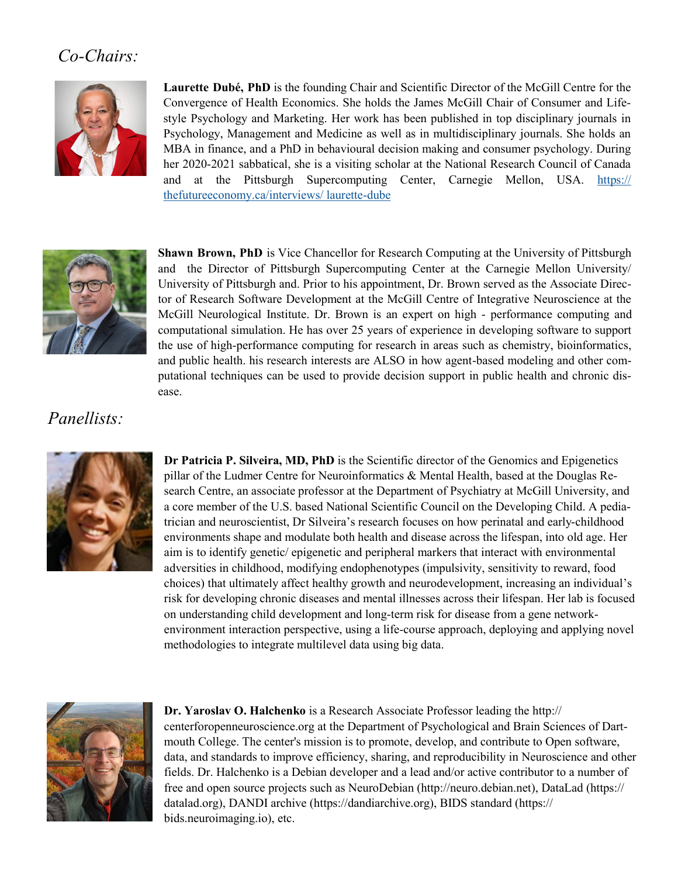### *Co-Chairs:*



**Laurette Dubé, PhD** is the founding Chair and Scientific Director of the McGill Centre for the Convergence of Health Economics. She holds the James McGill Chair of Consumer and Lifestyle Psychology and Marketing. Her work has been published in top disciplinary journals in Psychology, Management and Medicine as well as in multidisciplinary journals. She holds an MBA in finance, and a PhD in behavioural decision making and consumer psychology. During her 2020-2021 sabbatical, she is a visiting scholar at the National Research Council of Canada and at the Pittsburgh Supercomputing Center, Carnegie Mellon, USA. [https://](https://thefutureeconomy.ca/interviews/%20laurette-dube) [thefutureeconomy.ca/interviews/ laurette](https://thefutureeconomy.ca/interviews/%20laurette-dube)-dube



**Shawn Brown, PhD** is Vice Chancellor for Research Computing at the University of Pittsburgh and the Director of Pittsburgh Supercomputing Center at the Carnegie Mellon University/ University of Pittsburgh and. Prior to his appointment, Dr. Brown served as the Associate Director of Research Software Development at the McGill Centre of Integrative Neuroscience at the McGill Neurological Institute. Dr. Brown is an expert on high - performance computing and computational simulation. He has over 25 years of experience in developing software to support the use of high-performance computing for research in areas such as chemistry, bioinformatics, and public health. his research interests are ALSO in how agent-based modeling and other computational techniques can be used to provide decision support in public health and chronic disease.

### *Panellists:*



**Dr Patricia P. Silveira, MD, PhD** is the Scientific director of the Genomics and Epigenetics pillar of the Ludmer Centre for Neuroinformatics & Mental Health, based at the Douglas Research Centre, an associate professor at the Department of Psychiatry at McGill University, and a core member of the U.S. based National Scientific Council on the Developing Child. A pediatrician and neuroscientist, Dr Silveira's research focuses on how perinatal and early-childhood environments shape and modulate both health and disease across the lifespan, into old age. Her aim is to identify genetic/ epigenetic and peripheral markers that interact with environmental adversities in childhood, modifying endophenotypes (impulsivity, sensitivity to reward, food choices) that ultimately affect healthy growth and neurodevelopment, increasing an individual's risk for developing chronic diseases and mental illnesses across their lifespan. Her lab is focused on understanding child development and long-term risk for disease from a gene networkenvironment interaction perspective, using a life-course approach, deploying and applying novel methodologies to integrate multilevel data using big data.



**Dr. Yaroslav O. Halchenko** is a Research Associate Professor leading the http:// centerforopenneuroscience.org at the Department of Psychological and Brain Sciences of Dartmouth College. The center's mission is to promote, develop, and contribute to Open software, data, and standards to improve efficiency, sharing, and reproducibility in Neuroscience and other fields. Dr. Halchenko is a Debian developer and a lead and/or active contributor to a number of free and open source projects such as NeuroDebian (http://neuro.debian.net), DataLad (https:// datalad.org), DANDI archive (https://dandiarchive.org), BIDS standard (https:// bids.neuroimaging.io), etc.